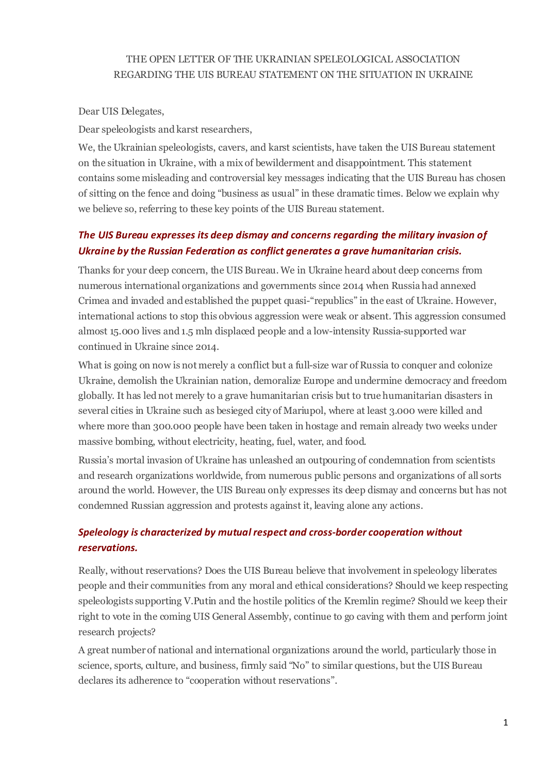#### THE OPEN LETTER OF THE UKRAINIAN SPELEOLOGICAL ASSOCIATION REGARDING THE UIS BUREAU STATEMENT ON THE SITUATION IN UKRAINE

Dear UIS Delegates,

Dear speleologists and karst researchers,

We, the Ukrainian speleologists, cavers, and karst scientists, have taken the UIS Bureau statement on the situation in Ukraine, with a mix of bewilderment and disappointment. This statement contains some misleading and controversial key messages indicating that the UIS Bureau has chosen of sitting on the fence and doing "business as usual" in these dramatic times. Below we explain why we believe so, referring to these key points of the UIS Bureau statement.

# *The UIS Bureau expresses its deep dismay and concerns regarding the military invasion of Ukraine by the Russian Federation as conflict generates a grave humanitarian crisis.*

Thanks for your deep concern, the UIS Bureau. We in Ukraine heard about deep concerns from numerous international organizations and governments since 2014 when Russia had annexed Crimea and invaded and established the puppet quasi-"republics" in the east of Ukraine. However, international actions to stop this obvious aggression were weak or absent. This aggression consumed almost 15.000 lives and 1.5 mln displaced people and a low-intensity Russia-supported war continued in Ukraine since 2014.

What is going on now is not merely a conflict but a full-size war of Russia to conquer and colonize Ukraine, demolish the Ukrainian nation, demoralize Europe and undermine democracy and freedom globally. It has led not merely to a grave humanitarian crisis but to true humanitarian disasters in several cities in Ukraine such as besieged city of Mariupol, where at least 3.000 were killed and where more than 300.000 people have been taken in hostage and remain already two weeks under massive bombing, without electricity, heating, fuel, water, and food.

Russia's mortal invasion of Ukraine has unleashed an outpouring of condemnation from scientists and research organizations worldwide, from numerous public persons and organizations of all sorts around the world. However, the UIS Bureau only expresses its deep dismay and concerns but has not condemned Russian aggression and protests against it, leaving alone any actions.

## *Speleology is characterized by mutual respect and cross-border cooperation without reservations.*

Really, without reservations? Does the UIS Bureau believe that involvement in speleology liberates people and their communities from any moral and ethical considerations? Should we keep respecting speleologists supporting V.Putin and the hostile politics of the Kremlin regime? Should we keep their right to vote in the coming UIS General Assembly, continue to go caving with them and perform joint research projects?

A great number of national and international organizations around the world, particularly those in science, sports, culture, and business, firmly said "No" to similar questions, but the UIS Bureau declares its adherence to "cooperation without reservations".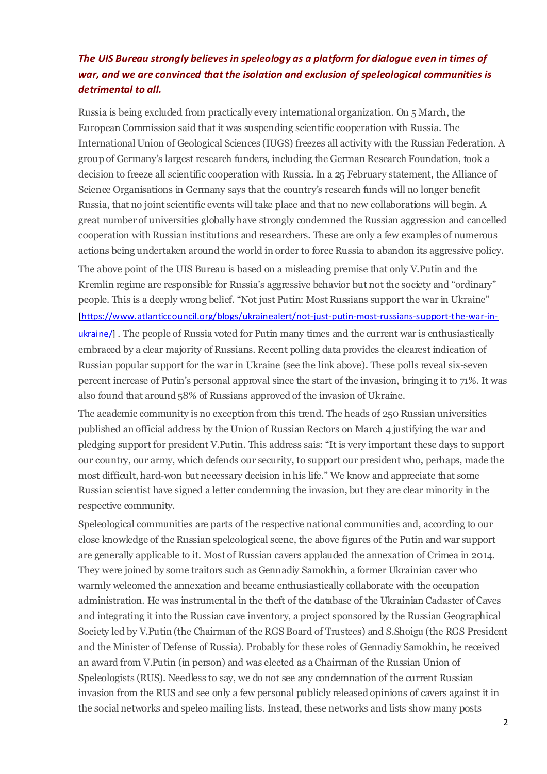# *The UIS Bureau strongly believes in speleology as a platform for dialogue even in times of war, and we are convinced that the isolation and exclusion of speleological communities is detrimental to all.*

Russia is being excluded from practically every international organization. On 5 March, the European Commission said that it was suspending scientific cooperation with Russia. The International Union of Geological Sciences (IUGS) freezes all activity with the Russian Federation. A group of Germany's largest research funders, including the German Research Foundation, took a decision to freeze all scientific cooperation with Russia. In a 25 February statement, the Alliance of Science Organisations in Germany says that the country's research funds will no longer benefit Russia, that no joint scientific events will take place and that no new collaborations will begin. A great number of universities globally have strongly condemned the Russian aggression and cancelled cooperation with Russian institutions and researchers. These are only a few examples of numerous actions being undertaken around the world in order to force Russia to abandon its aggressive policy. The above point of the UIS Bureau is based on a misleading premise that only V.Putin and the Kremlin regime are responsible for Russia's aggressive behavior but not the society and "ordinary" people. This is a deeply wrong belief. "Not just Putin: Most Russians support the war in Ukraine" [https://www.atlanticcouncil.org/blogs/ukrainealert/not-just-putin-most-russians-support-the-war-inukraine/] . The people of Russia voted for Putin many times and the current war is enthusiastically embraced by a clear majority of Russians. Recent polling data provides the clearest indication of Russian popular support for the war in Ukraine (see the link above). These polls reveal six-seven percent increase of Putin's personal approval since the start of the invasion, bringing it to 71%. It was also found that around 58% of Russians approved of the invasion of Ukraine.

The academic community is no exception from this trend. The heads of 250 Russian universities published an official address by the Union of Russian Rectors on March 4 justifying the war and pledging support for president V.Putin. This address sais: "It is very important these days to support our country, our army, which defends our security, to support our president who, perhaps, made the most difficult, hard-won but necessary decision in his life." We know and appreciate that some Russian scientist have signed a letter condemning the invasion, but they are clear minority in the respective community.

Speleological communities are parts of the respective national communities and, according to our close knowledge of the Russian speleological scene, the above figures of the Putin and war support are generally applicable to it. Most of Russian cavers applauded the annexation of Crimea in 2014. They were joined by some traitors such as Gennadiy Samokhin, a former Ukrainian caver who warmly welcomed the annexation and became enthusiastically collaborate with the occupation administration. He was instrumental in the theft of the database of the Ukrainian Cadaster of Caves and integrating it into the Russian cave inventory, a project sponsored by the Russian Geographical Society led by V.Putin (the Chairman of the RGS Board of Trustees) and S.Shoigu (the RGS President and the Minister of Defense of Russia). Probably for these roles of Gennadiy Samokhin, he received an award from V.Putin (in person) and was elected as a Chairman of the Russian Union of Speleologists (RUS). Needless to say, we do not see any condemnation of the current Russian invasion from the RUS and see only a few personal publicly released opinions of cavers against it in the social networks and speleo mailing lists. Instead, these networks and lists show many posts